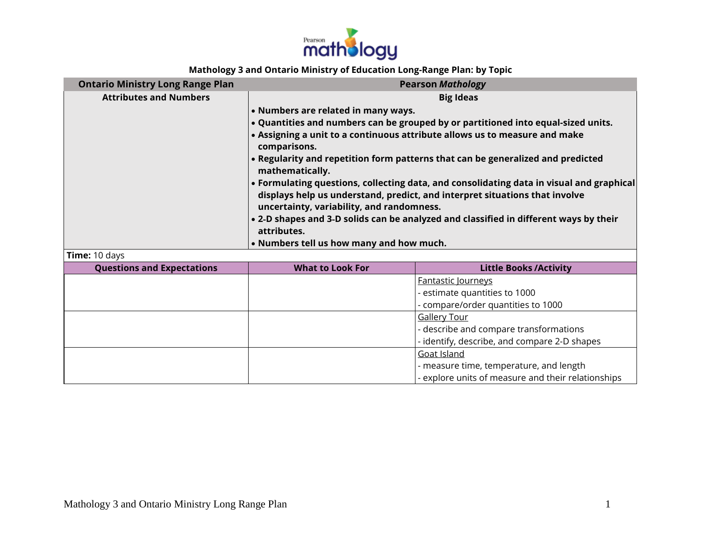

## **Mathology 3 and Ontario Ministry of Education Long-Range Plan: by Topic**

| <b>Ontario Ministry Long Range Plan</b>            |                                                                                       | <b>Pearson Mathology</b>                                                                 |  |
|----------------------------------------------------|---------------------------------------------------------------------------------------|------------------------------------------------------------------------------------------|--|
| <b>Attributes and Numbers</b>                      | <b>Big Ideas</b>                                                                      |                                                                                          |  |
|                                                    | • Numbers are related in many ways.                                                   |                                                                                          |  |
|                                                    |                                                                                       | . Quantities and numbers can be grouped by or partitioned into equal-sized units.        |  |
|                                                    |                                                                                       | . Assigning a unit to a continuous attribute allows us to measure and make               |  |
|                                                    | comparisons.                                                                          |                                                                                          |  |
|                                                    | mathematically.                                                                       | . Regularity and repetition form patterns that can be generalized and predicted          |  |
|                                                    |                                                                                       | • Formulating questions, collecting data, and consolidating data in visual and graphical |  |
|                                                    |                                                                                       | displays help us understand, predict, and interpret situations that involve              |  |
|                                                    | uncertainty, variability, and randomness.                                             |                                                                                          |  |
|                                                    | • 2-D shapes and 3-D solids can be analyzed and classified in different ways by their |                                                                                          |  |
|                                                    |                                                                                       |                                                                                          |  |
|                                                    | attributes.                                                                           |                                                                                          |  |
|                                                    | • Numbers tell us how many and how much.                                              |                                                                                          |  |
| Time: 10 days<br><b>Questions and Expectations</b> | <b>What to Look For</b>                                                               | <b>Little Books/Activity</b>                                                             |  |
|                                                    |                                                                                       | <b>Fantastic Journeys</b>                                                                |  |
|                                                    |                                                                                       | estimate quantities to 1000                                                              |  |
|                                                    |                                                                                       | - compare/order quantities to 1000                                                       |  |
|                                                    |                                                                                       | <b>Gallery Tour</b>                                                                      |  |
|                                                    |                                                                                       | - describe and compare transformations                                                   |  |
|                                                    |                                                                                       | - identify, describe, and compare 2-D shapes                                             |  |
|                                                    |                                                                                       | <b>Goat Island</b><br>- measure time, temperature, and length                            |  |

 $\vert$  - explore units of measure and their relationships  $\vert$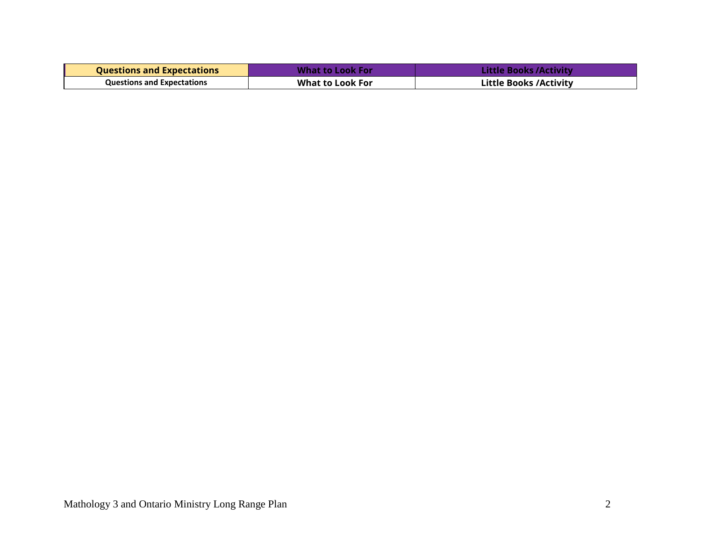| <b>Questions and Expectations</b> | <b>What to Look For</b> | Little Books /Activity        |
|-----------------------------------|-------------------------|-------------------------------|
| <b>Questions and Expectations</b> | <b>What to Look For</b> | <b>Little Books /Activity</b> |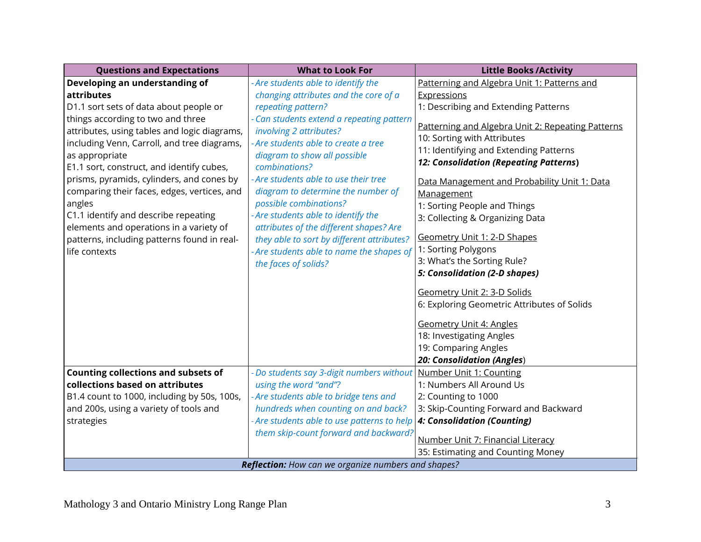| <b>Questions and Expectations</b>                                                                                                                                                                                                                                                                                                                                                                                                                        | <b>What to Look For</b>                                                                                                                                                                                                                                                                                                                                                                                                                                                     | <b>Little Books /Activity</b>                                                                                                                                                                                                                                                                                                                                                              |
|----------------------------------------------------------------------------------------------------------------------------------------------------------------------------------------------------------------------------------------------------------------------------------------------------------------------------------------------------------------------------------------------------------------------------------------------------------|-----------------------------------------------------------------------------------------------------------------------------------------------------------------------------------------------------------------------------------------------------------------------------------------------------------------------------------------------------------------------------------------------------------------------------------------------------------------------------|--------------------------------------------------------------------------------------------------------------------------------------------------------------------------------------------------------------------------------------------------------------------------------------------------------------------------------------------------------------------------------------------|
| Developing an understanding of                                                                                                                                                                                                                                                                                                                                                                                                                           | - Are students able to identify the                                                                                                                                                                                                                                                                                                                                                                                                                                         | Patterning and Algebra Unit 1: Patterns and                                                                                                                                                                                                                                                                                                                                                |
| attributes                                                                                                                                                                                                                                                                                                                                                                                                                                               | changing attributes and the core of a                                                                                                                                                                                                                                                                                                                                                                                                                                       | <b>Expressions</b>                                                                                                                                                                                                                                                                                                                                                                         |
| D1.1 sort sets of data about people or                                                                                                                                                                                                                                                                                                                                                                                                                   | repeating pattern?                                                                                                                                                                                                                                                                                                                                                                                                                                                          | 1: Describing and Extending Patterns                                                                                                                                                                                                                                                                                                                                                       |
| things according to two and three<br>attributes, using tables and logic diagrams,<br>including Venn, Carroll, and tree diagrams,<br>as appropriate<br>E1.1 sort, construct, and identify cubes,<br>prisms, pyramids, cylinders, and cones by<br>comparing their faces, edges, vertices, and<br>angles<br>C1.1 identify and describe repeating<br>elements and operations in a variety of<br>patterns, including patterns found in real-<br>life contexts | - Can students extend a repeating pattern<br>involving 2 attributes?<br>- Are students able to create a tree<br>diagram to show all possible<br>combinations?<br>- Are students able to use their tree<br>diagram to determine the number of<br>possible combinations?<br>- Are students able to identify the<br>attributes of the different shapes? Are<br>they able to sort by different attributes?<br>- Are students able to name the shapes of<br>the faces of solids? | Patterning and Algebra Unit 2: Repeating Patterns<br>10: Sorting with Attributes<br>11: Identifying and Extending Patterns<br>12: Consolidation (Repeating Patterns)<br>Data Management and Probability Unit 1: Data<br>Management<br>1: Sorting People and Things<br>3: Collecting & Organizing Data<br>Geometry Unit 1: 2-D Shapes<br>1: Sorting Polygons<br>3: What's the Sorting Rule? |
|                                                                                                                                                                                                                                                                                                                                                                                                                                                          |                                                                                                                                                                                                                                                                                                                                                                                                                                                                             | 5: Consolidation (2-D shapes)<br>Geometry Unit 2: 3-D Solids<br>6: Exploring Geometric Attributes of Solids<br><b>Geometry Unit 4: Angles</b><br>18: Investigating Angles<br>19: Comparing Angles<br>20: Consolidation (Angles)                                                                                                                                                            |
| <b>Counting collections and subsets of</b>                                                                                                                                                                                                                                                                                                                                                                                                               | - Do students say 3-digit numbers without                                                                                                                                                                                                                                                                                                                                                                                                                                   | Number Unit 1: Counting                                                                                                                                                                                                                                                                                                                                                                    |
| collections based on attributes                                                                                                                                                                                                                                                                                                                                                                                                                          | using the word "and"?                                                                                                                                                                                                                                                                                                                                                                                                                                                       | 1: Numbers All Around Us                                                                                                                                                                                                                                                                                                                                                                   |
| B1.4 count to 1000, including by 50s, 100s,                                                                                                                                                                                                                                                                                                                                                                                                              | - Are students able to bridge tens and                                                                                                                                                                                                                                                                                                                                                                                                                                      | 2: Counting to 1000                                                                                                                                                                                                                                                                                                                                                                        |
| and 200s, using a variety of tools and                                                                                                                                                                                                                                                                                                                                                                                                                   | hundreds when counting on and back?                                                                                                                                                                                                                                                                                                                                                                                                                                         | 3: Skip-Counting Forward and Backward                                                                                                                                                                                                                                                                                                                                                      |
| strategies                                                                                                                                                                                                                                                                                                                                                                                                                                               | - Are students able to use patterns to help<br>them skip-count forward and backward?                                                                                                                                                                                                                                                                                                                                                                                        | 4: Consolidation (Counting)                                                                                                                                                                                                                                                                                                                                                                |
|                                                                                                                                                                                                                                                                                                                                                                                                                                                          |                                                                                                                                                                                                                                                                                                                                                                                                                                                                             | Number Unit 7: Financial Literacy                                                                                                                                                                                                                                                                                                                                                          |
|                                                                                                                                                                                                                                                                                                                                                                                                                                                          |                                                                                                                                                                                                                                                                                                                                                                                                                                                                             | 35: Estimating and Counting Money                                                                                                                                                                                                                                                                                                                                                          |
| <b>Reflection:</b> How can we organize numbers and shapes?                                                                                                                                                                                                                                                                                                                                                                                               |                                                                                                                                                                                                                                                                                                                                                                                                                                                                             |                                                                                                                                                                                                                                                                                                                                                                                            |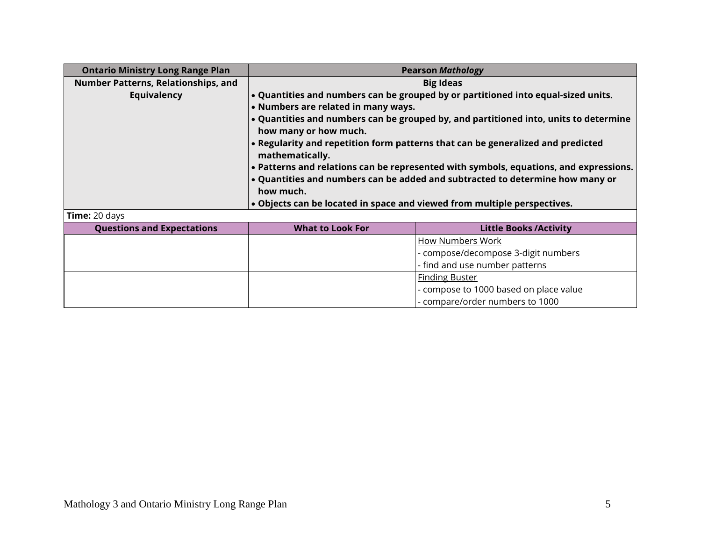| <b>Ontario Ministry Long Range Plan</b> | <b>Pearson Mathology</b>                                                 |                                                                                       |
|-----------------------------------------|--------------------------------------------------------------------------|---------------------------------------------------------------------------------------|
| Number Patterns, Relationships, and     | <b>Big Ideas</b>                                                         |                                                                                       |
| <b>Equivalency</b>                      |                                                                          | . Quantities and numbers can be grouped by or partitioned into equal-sized units.     |
|                                         | • Numbers are related in many ways.                                      |                                                                                       |
|                                         |                                                                          | • Quantities and numbers can be grouped by, and partitioned into, units to determine  |
|                                         | how many or how much.                                                    |                                                                                       |
|                                         | mathematically.                                                          | . Regularity and repetition form patterns that can be generalized and predicted       |
|                                         |                                                                          | • Patterns and relations can be represented with symbols, equations, and expressions. |
|                                         |                                                                          | . Quantities and numbers can be added and subtracted to determine how many or         |
|                                         | how much.                                                                |                                                                                       |
|                                         | . Objects can be located in space and viewed from multiple perspectives. |                                                                                       |
| Time: 20 days                           |                                                                          |                                                                                       |
| <b>Questions and Expectations</b>       | <b>What to Look For</b>                                                  | <b>Little Books / Activity</b>                                                        |
|                                         |                                                                          | <b>How Numbers Work</b>                                                               |
|                                         |                                                                          | - compose/decompose 3-digit numbers                                                   |
|                                         |                                                                          | - find and use number patterns                                                        |
|                                         |                                                                          | <b>Finding Buster</b>                                                                 |
|                                         |                                                                          | - compose to 1000 based on place value                                                |
|                                         |                                                                          | - compare/order numbers to 1000                                                       |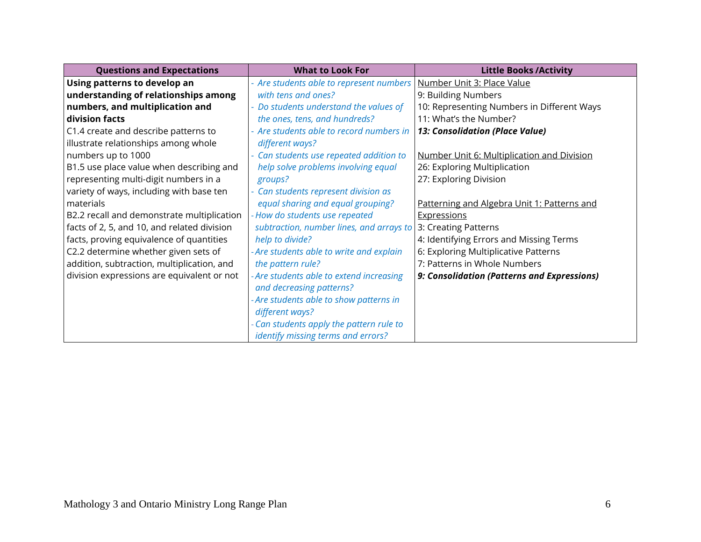| <b>Questions and Expectations</b>           | <b>What to Look For</b>                  | <b>Little Books / Activity</b>              |
|---------------------------------------------|------------------------------------------|---------------------------------------------|
| Using patterns to develop an                | - Are students able to represent numbers | Number Unit 3: Place Value                  |
| understanding of relationships among        | with tens and ones?                      | 9: Building Numbers                         |
| numbers, and multiplication and             | - Do students understand the values of   | 10: Representing Numbers in Different Ways  |
| division facts                              | the ones, tens, and hundreds?            | 11: What's the Number?                      |
| C1.4 create and describe patterns to        | - Are students able to record numbers in | 13: Consolidation (Place Value)             |
| illustrate relationships among whole        | different ways?                          |                                             |
| numbers up to 1000                          | - Can students use repeated addition to  | Number Unit 6: Multiplication and Division  |
| B1.5 use place value when describing and    | help solve problems involving equal      | 26: Exploring Multiplication                |
| representing multi-digit numbers in a       | groups?                                  | 27: Exploring Division                      |
| variety of ways, including with base ten    | - Can students represent division as     |                                             |
| materials                                   | equal sharing and equal grouping?        | Patterning and Algebra Unit 1: Patterns and |
| B2.2 recall and demonstrate multiplication  | - How do students use repeated           | Expressions                                 |
| facts of 2, 5, and 10, and related division | subtraction, number lines, and arrays to | 3: Creating Patterns                        |
| facts, proving equivalence of quantities    | help to divide?                          | 4: Identifying Errors and Missing Terms     |
| C2.2 determine whether given sets of        | - Are students able to write and explain | 6: Exploring Multiplicative Patterns        |
| addition, subtraction, multiplication, and  | the pattern rule?                        | 7: Patterns in Whole Numbers                |
| division expressions are equivalent or not  | - Are students able to extend increasing | 9: Consolidation (Patterns and Expressions) |
|                                             | and decreasing patterns?                 |                                             |
|                                             | - Are students able to show patterns in  |                                             |
|                                             | different ways?                          |                                             |
|                                             | - Can students apply the pattern rule to |                                             |
|                                             | identify missing terms and errors?       |                                             |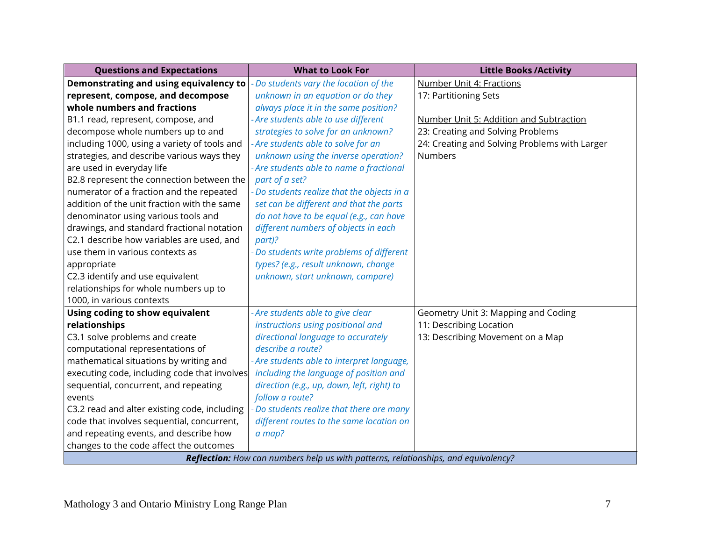| <b>Questions and Expectations</b>            | <b>What to Look For</b>                                                                   | <b>Little Books/Activity</b>                  |
|----------------------------------------------|-------------------------------------------------------------------------------------------|-----------------------------------------------|
| Demonstrating and using equivalency to       | - Do students vary the location of the                                                    | <b>Number Unit 4: Fractions</b>               |
| represent, compose, and decompose            | unknown in an equation or do they                                                         | 17: Partitioning Sets                         |
| whole numbers and fractions                  | always place it in the same position?                                                     |                                               |
| B1.1 read, represent, compose, and           | - Are students able to use different                                                      | Number Unit 5: Addition and Subtraction       |
| decompose whole numbers up to and            | strategies to solve for an unknown?                                                       | 23: Creating and Solving Problems             |
| including 1000, using a variety of tools and | - Are students able to solve for an                                                       | 24: Creating and Solving Problems with Larger |
| strategies, and describe various ways they   | unknown using the inverse operation?                                                      | <b>Numbers</b>                                |
| are used in everyday life                    | - Are students able to name a fractional                                                  |                                               |
| B2.8 represent the connection between the    | part of a set?                                                                            |                                               |
| numerator of a fraction and the repeated     | - Do students realize that the objects in a                                               |                                               |
| addition of the unit fraction with the same  | set can be different and that the parts                                                   |                                               |
| denominator using various tools and          | do not have to be equal (e.g., can have                                                   |                                               |
| drawings, and standard fractional notation   | different numbers of objects in each                                                      |                                               |
| C2.1 describe how variables are used, and    | part)?                                                                                    |                                               |
| use them in various contexts as              | Do students write problems of different                                                   |                                               |
| appropriate                                  | types? (e.g., result unknown, change                                                      |                                               |
| C2.3 identify and use equivalent             | unknown, start unknown, compare)                                                          |                                               |
| relationships for whole numbers up to        |                                                                                           |                                               |
| 1000, in various contexts                    |                                                                                           |                                               |
| Using coding to show equivalent              | - Are students able to give clear                                                         | Geometry Unit 3: Mapping and Coding           |
| relationships                                | instructions using positional and                                                         | 11: Describing Location                       |
| C3.1 solve problems and create               | directional language to accurately                                                        | 13: Describing Movement on a Map              |
| computational representations of             | describe a route?                                                                         |                                               |
| mathematical situations by writing and       | - Are students able to interpret language,                                                |                                               |
| executing code, including code that involves | including the language of position and                                                    |                                               |
| sequential, concurrent, and repeating        | direction (e.g., up, down, left, right) to                                                |                                               |
| events                                       | follow a route?                                                                           |                                               |
| C3.2 read and alter existing code, including | Do students realize that there are many                                                   |                                               |
| code that involves sequential, concurrent,   | different routes to the same location on                                                  |                                               |
| and repeating events, and describe how       | a map?                                                                                    |                                               |
| changes to the code affect the outcomes      |                                                                                           |                                               |
|                                              | <b>Reflection:</b> How can numbers help us with patterns, relationships, and equivalency? |                                               |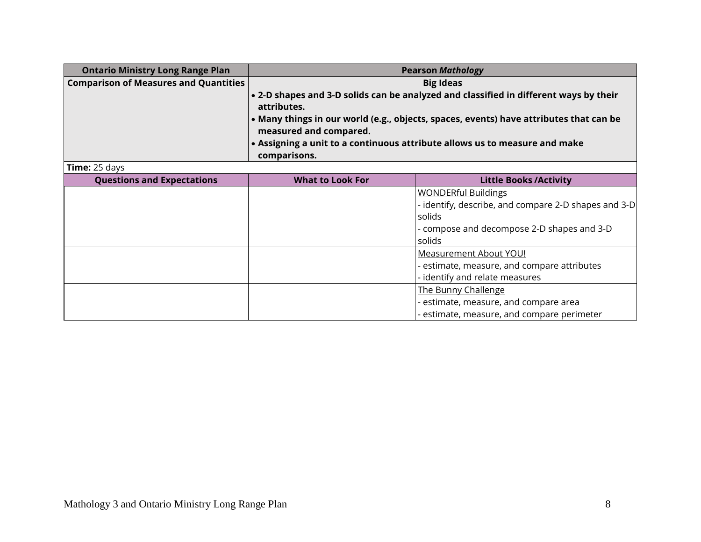| <b>Ontario Ministry Long Range Plan</b>      | <b>Pearson Mathology</b> |                                                                                        |
|----------------------------------------------|--------------------------|----------------------------------------------------------------------------------------|
| <b>Comparison of Measures and Quantities</b> | <b>Big Ideas</b>         |                                                                                        |
|                                              |                          | • 2-D shapes and 3-D solids can be analyzed and classified in different ways by their  |
|                                              | attributes.              |                                                                                        |
|                                              |                          | • Many things in our world (e.g., objects, spaces, events) have attributes that can be |
|                                              | measured and compared.   |                                                                                        |
|                                              |                          | • Assigning a unit to a continuous attribute allows us to measure and make             |
|                                              | comparisons.             |                                                                                        |
| Time: 25 days                                |                          |                                                                                        |
| <b>Questions and Expectations</b>            | <b>What to Look For</b>  | <b>Little Books/Activity</b>                                                           |
|                                              |                          | <b>WONDERful Buildings</b>                                                             |
|                                              |                          | - identify, describe, and compare 2-D shapes and 3-D                                   |
|                                              |                          | solids                                                                                 |
|                                              |                          | - compose and decompose 2-D shapes and 3-D                                             |
|                                              |                          | solids                                                                                 |
|                                              |                          | <b>Measurement About YOU!</b>                                                          |
|                                              |                          | - estimate, measure, and compare attributes                                            |
|                                              |                          | - identify and relate measures                                                         |
|                                              |                          | The Bunny Challenge                                                                    |
|                                              |                          | - estimate, measure, and compare area                                                  |
|                                              |                          | estimate, measure, and compare perimeter                                               |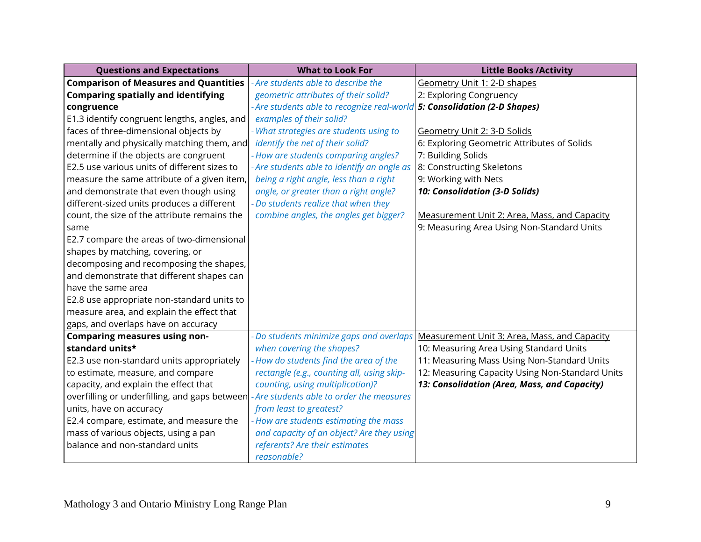| <b>Questions and Expectations</b>             | <b>What to Look For</b>                                                   | <b>Little Books / Activity</b>                  |
|-----------------------------------------------|---------------------------------------------------------------------------|-------------------------------------------------|
| <b>Comparison of Measures and Quantities</b>  | - Are students able to describe the                                       | Geometry Unit 1: 2-D shapes                     |
| <b>Comparing spatially and identifying</b>    | geometric attributes of their solid?                                      | 2: Exploring Congruency                         |
| congruence                                    | - Are students able to recognize real-world 5: Consolidation (2-D Shapes) |                                                 |
| E1.3 identify congruent lengths, angles, and  | examples of their solid?                                                  |                                                 |
| faces of three-dimensional objects by         | - What strategies are students using to                                   | Geometry Unit 2: 3-D Solids                     |
| mentally and physically matching them, and    | identify the net of their solid?                                          | 6: Exploring Geometric Attributes of Solids     |
| determine if the objects are congruent        | - How are students comparing angles?                                      | 7: Building Solids                              |
| E2.5 use various units of different sizes to  | - Are students able to identify an angle as                               | 8: Constructing Skeletons                       |
| measure the same attribute of a given item,   | being a right angle, less than a right                                    | 9: Working with Nets                            |
| and demonstrate that even though using        | angle, or greater than a right angle?                                     | 10: Consolidation (3-D Solids)                  |
| different-sized units produces a different    | - Do students realize that when they                                      |                                                 |
| count, the size of the attribute remains the  | combine angles, the angles get bigger?                                    | Measurement Unit 2: Area, Mass, and Capacity    |
| same                                          |                                                                           | 9: Measuring Area Using Non-Standard Units      |
| E2.7 compare the areas of two-dimensional     |                                                                           |                                                 |
| shapes by matching, covering, or              |                                                                           |                                                 |
| decomposing and recomposing the shapes,       |                                                                           |                                                 |
| and demonstrate that different shapes can     |                                                                           |                                                 |
| have the same area                            |                                                                           |                                                 |
| E2.8 use appropriate non-standard units to    |                                                                           |                                                 |
| measure area, and explain the effect that     |                                                                           |                                                 |
| gaps, and overlaps have on accuracy           |                                                                           |                                                 |
| <b>Comparing measures using non-</b>          | - Do students minimize gaps and overlaps                                  | Measurement Unit 3: Area, Mass, and Capacity    |
| standard units*                               | when covering the shapes?                                                 | 10: Measuring Area Using Standard Units         |
| E2.3 use non-standard units appropriately     | - How do students find the area of the                                    | 11: Measuring Mass Using Non-Standard Units     |
| to estimate, measure, and compare             | rectangle (e.g., counting all, using skip-                                | 12: Measuring Capacity Using Non-Standard Units |
| capacity, and explain the effect that         | counting, using multiplication)?                                          | 13: Consolidation (Area, Mass, and Capacity)    |
| overfilling or underfilling, and gaps between | - Are students able to order the measures                                 |                                                 |
| units, have on accuracy                       | from least to greatest?                                                   |                                                 |
| E2.4 compare, estimate, and measure the       | - How are students estimating the mass                                    |                                                 |
| mass of various objects, using a pan          | and capacity of an object? Are they using                                 |                                                 |
| balance and non-standard units                | referents? Are their estimates                                            |                                                 |
|                                               | reasonable?                                                               |                                                 |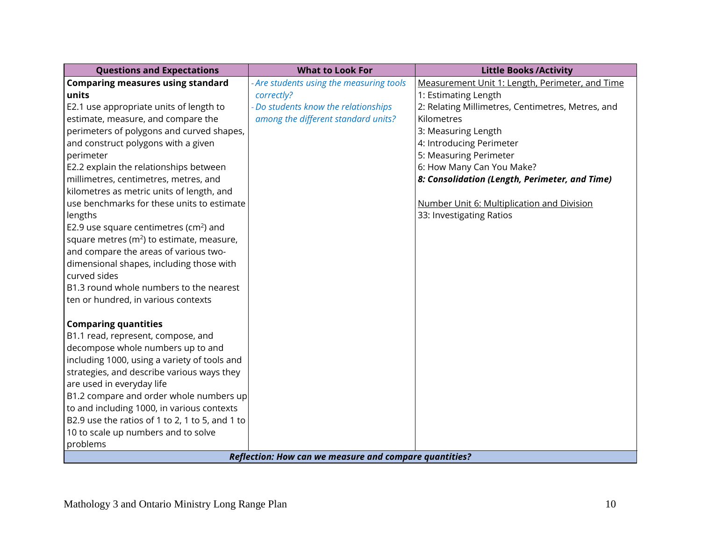| <b>Questions and Expectations</b>                 | <b>What to Look For</b>                                       | <b>Little Books / Activity</b>                    |
|---------------------------------------------------|---------------------------------------------------------------|---------------------------------------------------|
| <b>Comparing measures using standard</b>          | - Are students using the measuring tools                      | Measurement Unit 1: Length, Perimeter, and Time   |
| units                                             | correctly?                                                    | 1: Estimating Length                              |
| E2.1 use appropriate units of length to           | - Do students know the relationships                          | 2: Relating Millimetres, Centimetres, Metres, and |
| estimate, measure, and compare the                | among the different standard units?                           | Kilometres                                        |
| perimeters of polygons and curved shapes,         |                                                               | 3: Measuring Length                               |
| and construct polygons with a given               |                                                               | 4: Introducing Perimeter                          |
| perimeter                                         |                                                               | 5: Measuring Perimeter                            |
| E2.2 explain the relationships between            |                                                               | 6: How Many Can You Make?                         |
| millimetres, centimetres, metres, and             |                                                               | 8: Consolidation (Length, Perimeter, and Time)    |
| kilometres as metric units of length, and         |                                                               |                                                   |
| use benchmarks for these units to estimate        |                                                               | Number Unit 6: Multiplication and Division        |
| lengths                                           |                                                               | 33: Investigating Ratios                          |
| E2.9 use square centimetres ( $\text{cm}^2$ ) and |                                                               |                                                   |
| square metres $(m^2)$ to estimate, measure,       |                                                               |                                                   |
| and compare the areas of various two-             |                                                               |                                                   |
| dimensional shapes, including those with          |                                                               |                                                   |
| curved sides                                      |                                                               |                                                   |
| B1.3 round whole numbers to the nearest           |                                                               |                                                   |
| ten or hundred, in various contexts               |                                                               |                                                   |
| <b>Comparing quantities</b>                       |                                                               |                                                   |
| B1.1 read, represent, compose, and                |                                                               |                                                   |
| decompose whole numbers up to and                 |                                                               |                                                   |
| including 1000, using a variety of tools and      |                                                               |                                                   |
| strategies, and describe various ways they        |                                                               |                                                   |
| are used in everyday life                         |                                                               |                                                   |
| B1.2 compare and order whole numbers up           |                                                               |                                                   |
| to and including 1000, in various contexts        |                                                               |                                                   |
| B2.9 use the ratios of 1 to 2, 1 to 5, and 1 to   |                                                               |                                                   |
| 10 to scale up numbers and to solve               |                                                               |                                                   |
| problems                                          |                                                               |                                                   |
|                                                   | <b>Reflection: How can we measure and compare quantities?</b> |                                                   |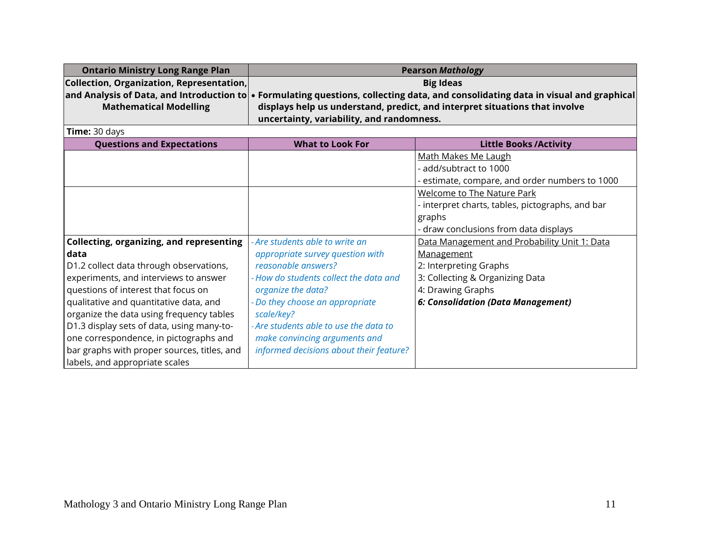| <b>Ontario Ministry Long Range Plan</b>   | <b>Pearson Mathology</b>                                                                                                                   |
|-------------------------------------------|--------------------------------------------------------------------------------------------------------------------------------------------|
| Collection, Organization, Representation, | <b>Big Ideas</b>                                                                                                                           |
|                                           | and Analysis of Data, and Introduction to $\bullet$ Formulating questions, collecting data, and consolidating data in visual and graphical |
| <b>Mathematical Modelling</b>             | displays help us understand, predict, and interpret situations that involve                                                                |
|                                           | uncertainty, variability, and randomness.                                                                                                  |

| <b>Questions and Expectations</b>               | <b>What to Look For</b>                 | <b>Little Books/Activity</b>                     |
|-------------------------------------------------|-----------------------------------------|--------------------------------------------------|
|                                                 |                                         | <u>Math Makes Me Laugh</u>                       |
|                                                 |                                         | - add/subtract to 1000                           |
|                                                 |                                         | estimate, compare, and order numbers to 1000     |
|                                                 |                                         | <b>Welcome to The Nature Park</b>                |
|                                                 |                                         | - interpret charts, tables, pictographs, and bar |
|                                                 |                                         | graphs                                           |
|                                                 |                                         | - draw conclusions from data displays            |
| <b>Collecting, organizing, and representing</b> | - Are students able to write an         | Data Management and Probability Unit 1: Data     |
| data                                            | appropriate survey question with        | Management                                       |
| D1.2 collect data through observations,         | reasonable answers?                     | 2: Interpreting Graphs                           |
| experiments, and interviews to answer           | - How do students collect the data and  | 3: Collecting & Organizing Data                  |
| questions of interest that focus on             | organize the data?                      | 4: Drawing Graphs                                |
| qualitative and quantitative data, and          | - Do they choose an appropriate         | 6: Consolidation (Data Management)               |
| organize the data using frequency tables        | scale/key?                              |                                                  |
| D1.3 display sets of data, using many-to-       | - Are students able to use the data to  |                                                  |
| one correspondence, in pictographs and          | make convincing arguments and           |                                                  |
| bar graphs with proper sources, titles, and     | informed decisions about their feature? |                                                  |
| labels, and appropriate scales                  |                                         |                                                  |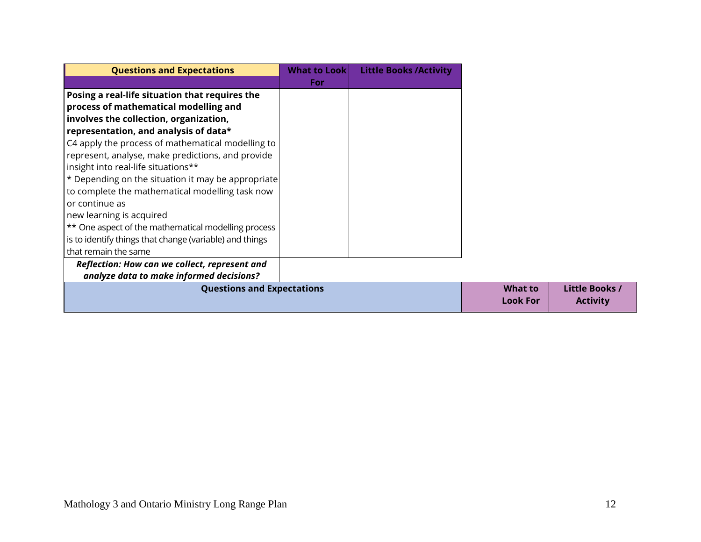| <b>Questions and Expectations</b>                       | <b>What to Look</b> | <b>Little Books / Activity</b> |                 |                 |
|---------------------------------------------------------|---------------------|--------------------------------|-----------------|-----------------|
|                                                         | For                 |                                |                 |                 |
| Posing a real-life situation that requires the          |                     |                                |                 |                 |
| process of mathematical modelling and                   |                     |                                |                 |                 |
| involves the collection, organization,                  |                     |                                |                 |                 |
| representation, and analysis of data*                   |                     |                                |                 |                 |
| C4 apply the process of mathematical modelling to       |                     |                                |                 |                 |
| represent, analyse, make predictions, and provide       |                     |                                |                 |                 |
| insight into real-life situations**                     |                     |                                |                 |                 |
| * Depending on the situation it may be appropriate      |                     |                                |                 |                 |
| to complete the mathematical modelling task now         |                     |                                |                 |                 |
| or continue as                                          |                     |                                |                 |                 |
| new learning is acquired                                |                     |                                |                 |                 |
| ** One aspect of the mathematical modelling process     |                     |                                |                 |                 |
| is to identify things that change (variable) and things |                     |                                |                 |                 |
| that remain the same                                    |                     |                                |                 |                 |
| Reflection: How can we collect, represent and           |                     |                                |                 |                 |
| analyze data to make informed decisions?                |                     |                                |                 |                 |
| <b>Questions and Expectations</b>                       |                     |                                | <b>What to</b>  | Little Books /  |
|                                                         |                     |                                | <b>Look For</b> | <b>Activity</b> |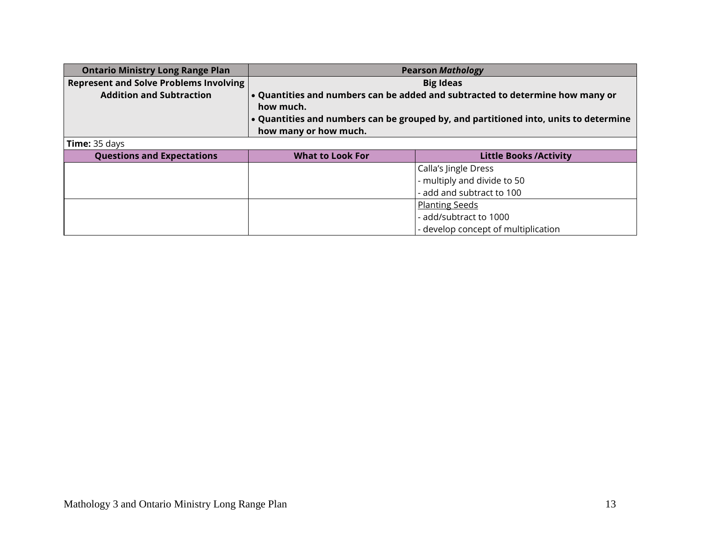| <b>Ontario Ministry Long Range Plan</b>       | <b>Pearson Mathology</b>                                                                                                                                                                                    |                              |
|-----------------------------------------------|-------------------------------------------------------------------------------------------------------------------------------------------------------------------------------------------------------------|------------------------------|
| <b>Represent and Solve Problems Involving</b> | <b>Big Ideas</b>                                                                                                                                                                                            |                              |
| <b>Addition and Subtraction</b>               | . Quantities and numbers can be added and subtracted to determine how many or<br>how much.<br>• Quantities and numbers can be grouped by, and partitioned into, units to determine<br>how many or how much. |                              |
| Time: 35 days                                 |                                                                                                                                                                                                             |                              |
| <b>Questions and Expectations</b>             | <b>What to Look For</b>                                                                                                                                                                                     | <b>Little Books/Activity</b> |
|                                               |                                                                                                                                                                                                             | Calla's Jingle Dress         |
|                                               |                                                                                                                                                                                                             | - multiply and divide to 50  |
|                                               |                                                                                                                                                                                                             | - add and subtract to 100    |
|                                               |                                                                                                                                                                                                             | <b>Planting Seeds</b>        |
|                                               |                                                                                                                                                                                                             | - add/subtract to 1000       |

- develop concept of multiplication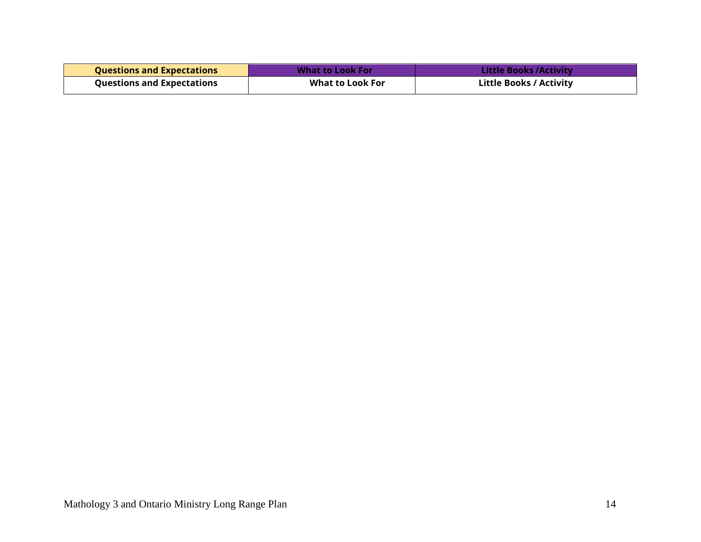| <b>Questions and Expectations</b> | What to Look For | <b>Little Books / Activity</b> |
|-----------------------------------|------------------|--------------------------------|
| <b>Questions and Expectations</b> | What to Look For | <b>Little Books / Activity</b> |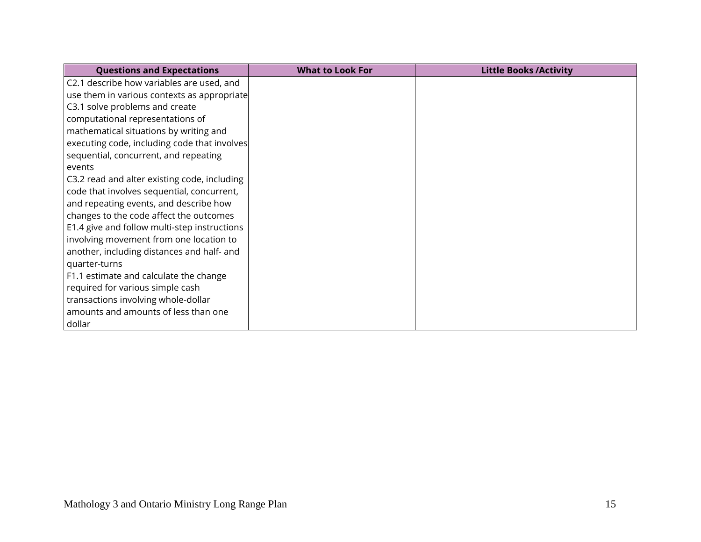| <b>Questions and Expectations</b>            | <b>What to Look For</b> | <b>Little Books / Activity</b> |
|----------------------------------------------|-------------------------|--------------------------------|
| C2.1 describe how variables are used, and    |                         |                                |
| use them in various contexts as appropriate  |                         |                                |
| C3.1 solve problems and create               |                         |                                |
| computational representations of             |                         |                                |
| mathematical situations by writing and       |                         |                                |
| executing code, including code that involves |                         |                                |
| sequential, concurrent, and repeating        |                         |                                |
| events                                       |                         |                                |
| C3.2 read and alter existing code, including |                         |                                |
| code that involves sequential, concurrent,   |                         |                                |
| and repeating events, and describe how       |                         |                                |
| changes to the code affect the outcomes      |                         |                                |
| E1.4 give and follow multi-step instructions |                         |                                |
| involving movement from one location to      |                         |                                |
| another, including distances and half- and   |                         |                                |
| quarter-turns                                |                         |                                |
| F1.1 estimate and calculate the change       |                         |                                |
| required for various simple cash             |                         |                                |
| transactions involving whole-dollar          |                         |                                |
| amounts and amounts of less than one         |                         |                                |
| dollar                                       |                         |                                |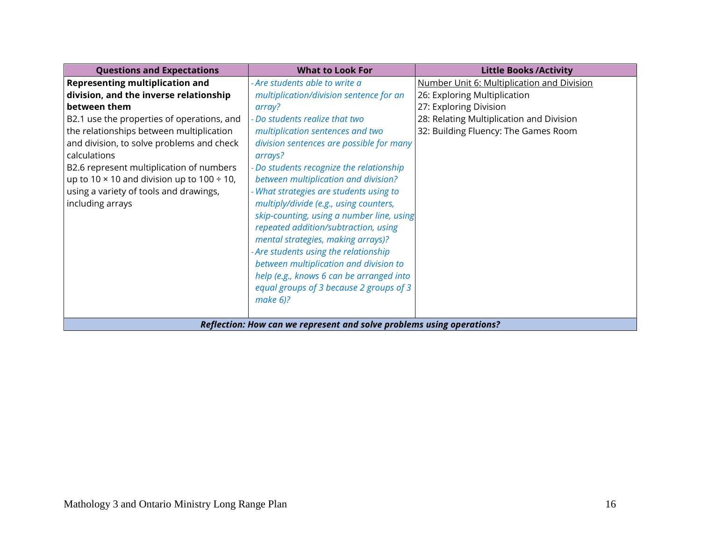| <b>Questions and Expectations</b>                                     | <b>What to Look For</b>                   | <b>Little Books / Activity</b>             |  |
|-----------------------------------------------------------------------|-------------------------------------------|--------------------------------------------|--|
| <b>Representing multiplication and</b>                                | - Are students able to write a            | Number Unit 6: Multiplication and Division |  |
| division, and the inverse relationship                                | multiplication/division sentence for an   | 26: Exploring Multiplication               |  |
| between them                                                          | array?                                    | 27: Exploring Division                     |  |
| B2.1 use the properties of operations, and                            | - Do students realize that two            | 28: Relating Multiplication and Division   |  |
| the relationships between multiplication                              | multiplication sentences and two          | 32: Building Fluency: The Games Room       |  |
| and division, to solve problems and check                             | division sentences are possible for many  |                                            |  |
| calculations                                                          | arrays?                                   |                                            |  |
| B2.6 represent multiplication of numbers                              | Do students recognize the relationship    |                                            |  |
| up to 10 $\times$ 10 and division up to 100 ÷ 10,                     | between multiplication and division?      |                                            |  |
| using a variety of tools and drawings,                                | - What strategies are students using to   |                                            |  |
| including arrays                                                      | multiply/divide (e.g., using counters,    |                                            |  |
|                                                                       | skip-counting, using a number line, using |                                            |  |
|                                                                       | repeated addition/subtraction, using      |                                            |  |
|                                                                       | mental strategies, making arrays)?        |                                            |  |
|                                                                       | - Are students using the relationship     |                                            |  |
|                                                                       | between multiplication and division to    |                                            |  |
|                                                                       | help (e.g., knows 6 can be arranged into  |                                            |  |
|                                                                       | equal groups of 3 because 2 groups of 3   |                                            |  |
|                                                                       | make $6$ ?                                |                                            |  |
|                                                                       |                                           |                                            |  |
| Reflection: How can we represent and solve problems using operations? |                                           |                                            |  |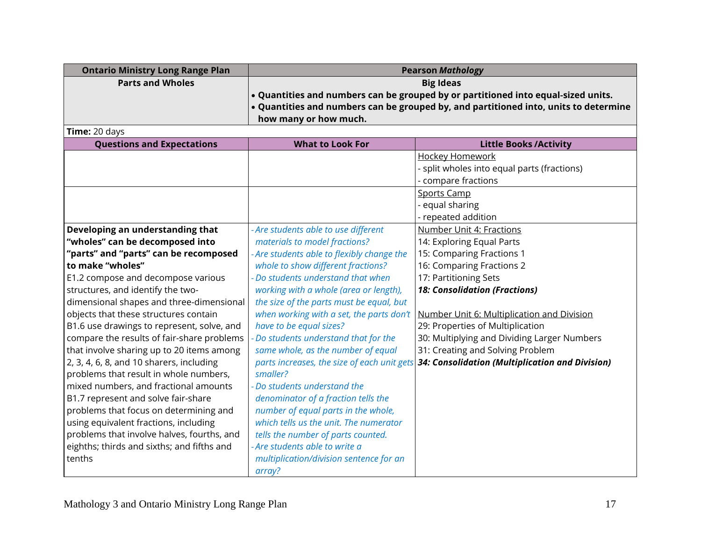| <b>Ontario Ministry Long Range Plan</b> | <b>Pearson Mathology</b>                                                                               |
|-----------------------------------------|--------------------------------------------------------------------------------------------------------|
| <b>Parts and Wholes</b>                 | <b>Big Ideas</b>                                                                                       |
|                                         | $\cdot$ Quantities and numbers can be grouped by or partitioned into equal-sized units.                |
|                                         | $\vert \cdot \vert$ Quantities and numbers can be grouped by, and partitioned into, units to determine |
|                                         | how many or how much.                                                                                  |

**Time:** 20 days

| <b>Questions and Expectations</b>          | <b>What to Look For</b>                    | <b>Little Books / Activity</b>                                                              |
|--------------------------------------------|--------------------------------------------|---------------------------------------------------------------------------------------------|
|                                            |                                            | <b>Hockey Homework</b>                                                                      |
|                                            |                                            | - split wholes into equal parts (fractions)                                                 |
|                                            |                                            | - compare fractions                                                                         |
|                                            |                                            | <b>Sports Camp</b>                                                                          |
|                                            |                                            | equal sharing                                                                               |
|                                            |                                            | - repeated addition                                                                         |
| Developing an understanding that           | - Are students able to use different       | <b>Number Unit 4: Fractions</b>                                                             |
| "wholes" can be decomposed into            | materials to model fractions?              | 14: Exploring Equal Parts                                                                   |
| "parts" and "parts" can be recomposed      | - Are students able to flexibly change the | 15: Comparing Fractions 1                                                                   |
| to make "wholes"                           | whole to show different fractions?         | 16: Comparing Fractions 2                                                                   |
| E1.2 compose and decompose various         | Do students understand that when           | 17: Partitioning Sets                                                                       |
| structures, and identify the two-          | working with a whole (area or length),     | <b>18: Consolidation (Fractions)</b>                                                        |
| dimensional shapes and three-dimensional   | the size of the parts must be equal, but   |                                                                                             |
| objects that these structures contain      | when working with a set, the parts don't   | Number Unit 6: Multiplication and Division                                                  |
| B1.6 use drawings to represent, solve, and | have to be equal sizes?                    | 29: Properties of Multiplication                                                            |
| compare the results of fair-share problems | Do students understand that for the        | 30: Multiplying and Dividing Larger Numbers                                                 |
| that involve sharing up to 20 items among  | same whole, as the number of equal         | 31: Creating and Solving Problem                                                            |
| 2, 3, 4, 6, 8, and 10 sharers, including   |                                            | parts increases, the size of each unit gets 34: Consolidation (Multiplication and Division) |
| problems that result in whole numbers,     | smaller?                                   |                                                                                             |
| mixed numbers, and fractional amounts      | - Do students understand the               |                                                                                             |
| B1.7 represent and solve fair-share        | denominator of a fraction tells the        |                                                                                             |
| problems that focus on determining and     | number of equal parts in the whole,        |                                                                                             |
| using equivalent fractions, including      | which tells us the unit. The numerator     |                                                                                             |
| problems that involve halves, fourths, and | tells the number of parts counted.         |                                                                                             |
| eighths; thirds and sixths; and fifths and | - Are students able to write a             |                                                                                             |
| tenths                                     | multiplication/division sentence for an    |                                                                                             |
|                                            | array?                                     |                                                                                             |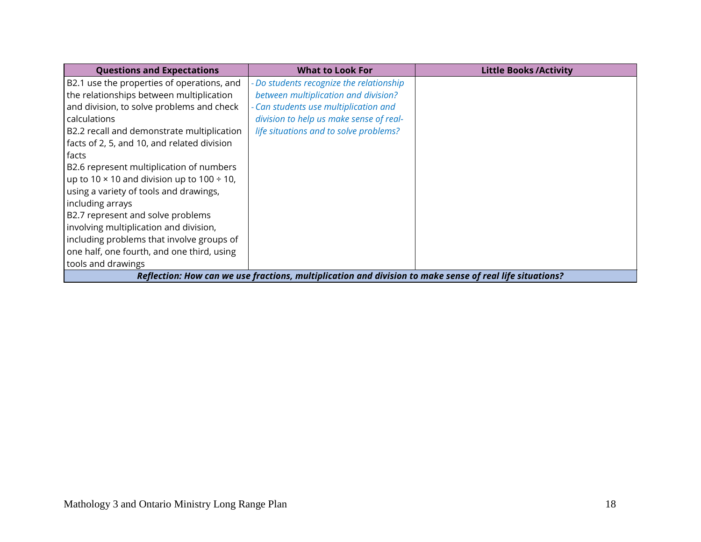| <b>Questions and Expectations</b>                                                                        | <b>What to Look For</b>                  | <b>Little Books /Activity</b> |
|----------------------------------------------------------------------------------------------------------|------------------------------------------|-------------------------------|
| B2.1 use the properties of operations, and                                                               | - Do students recognize the relationship |                               |
| the relationships between multiplication                                                                 | between multiplication and division?     |                               |
| and division, to solve problems and check                                                                | - Can students use multiplication and    |                               |
| calculations                                                                                             | division to help us make sense of real-  |                               |
| B2.2 recall and demonstrate multiplication                                                               | life situations and to solve problems?   |                               |
| facts of 2, 5, and 10, and related division                                                              |                                          |                               |
| facts                                                                                                    |                                          |                               |
| B2.6 represent multiplication of numbers                                                                 |                                          |                               |
| up to 10 $\times$ 10 and division up to 100 ÷ 10,                                                        |                                          |                               |
| using a variety of tools and drawings,                                                                   |                                          |                               |
| including arrays                                                                                         |                                          |                               |
| B2.7 represent and solve problems                                                                        |                                          |                               |
| involving multiplication and division,                                                                   |                                          |                               |
| including problems that involve groups of                                                                |                                          |                               |
| one half, one fourth, and one third, using                                                               |                                          |                               |
| tools and drawings                                                                                       |                                          |                               |
| Reflection: How can we use fractions, multiplication and division to make sense of real life situations? |                                          |                               |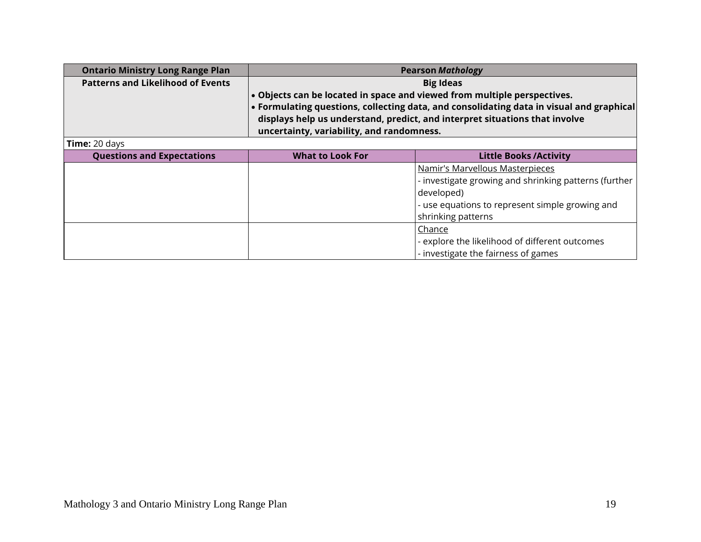| <b>Ontario Ministry Long Range Plan</b>  | <b>Pearson Mathology</b>                                                 |                                                                                          |
|------------------------------------------|--------------------------------------------------------------------------|------------------------------------------------------------------------------------------|
| <b>Patterns and Likelihood of Events</b> |                                                                          | <b>Big Ideas</b>                                                                         |
|                                          | . Objects can be located in space and viewed from multiple perspectives. |                                                                                          |
|                                          |                                                                          | • Formulating questions, collecting data, and consolidating data in visual and graphical |
|                                          |                                                                          | displays help us understand, predict, and interpret situations that involve              |
|                                          | uncertainty, variability, and randomness.                                |                                                                                          |
| Time: 20 days                            |                                                                          |                                                                                          |
| <b>Questions and Expectations</b>        | <b>What to Look For</b>                                                  | <b>Little Books / Activity</b>                                                           |
|                                          |                                                                          | Namir's Marvellous Masterpieces                                                          |
|                                          |                                                                          | - investigate growing and shrinking patterns (further                                    |
|                                          |                                                                          | developed)                                                                               |
|                                          |                                                                          | - use equations to represent simple growing and                                          |
|                                          |                                                                          | shrinking patterns                                                                       |
|                                          |                                                                          | Chance                                                                                   |
|                                          |                                                                          | - explore the likelihood of different outcomes                                           |
|                                          |                                                                          | - investigate the fairness of games                                                      |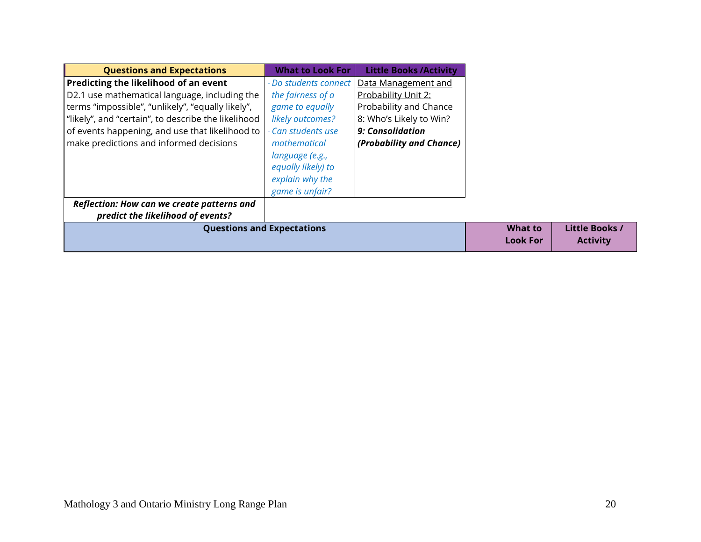| <b>Questions and Expectations</b>                   | <b>What to Look For</b>           | <b>Little Books/Activity</b>  |
|-----------------------------------------------------|-----------------------------------|-------------------------------|
| Predicting the likelihood of an event               | - Do students connect             | Data Management and           |
| D2.1 use mathematical language, including the       | the fairness of a                 | Probability Unit 2:           |
| terms "impossible", "unlikely", "equally likely",   | game to equally                   | <b>Probability and Chance</b> |
| "likely", and "certain", to describe the likelihood | likely outcomes?                  | 8: Who's Likely to Win?       |
| of events happening, and use that likelihood to     | - Can students use                | 9: Consolidation              |
| make predictions and informed decisions             | mathematical                      | (Probability and Chance)      |
|                                                     | language (e.g.,                   |                               |
|                                                     | equally likely) to                |                               |
|                                                     | explain why the                   |                               |
|                                                     | game is unfair?                   |                               |
| Reflection: How can we create patterns and          |                                   |                               |
| predict the likelihood of events?                   |                                   |                               |
|                                                     | <b>Questions and Expectations</b> |                               |
|                                                     |                                   |                               |

**Little Books / Activity**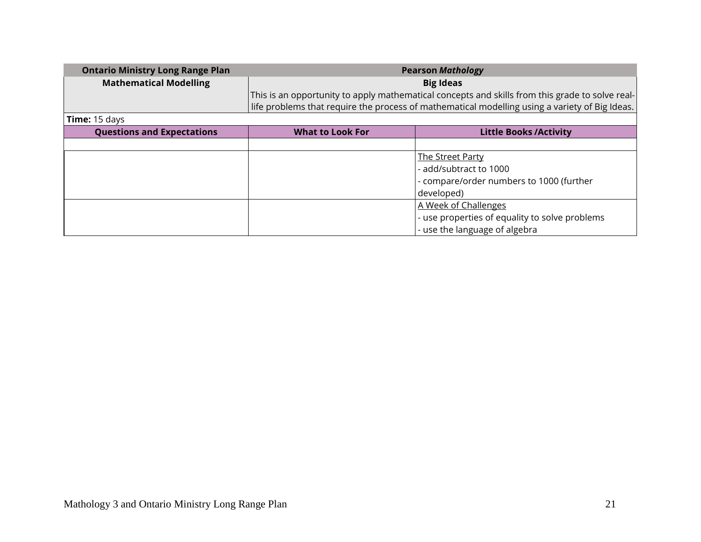| <b>Ontario Ministry Long Range Plan</b> | <b>Pearson Mathology</b>                                                                        |
|-----------------------------------------|-------------------------------------------------------------------------------------------------|
| <b>Mathematical Modelling</b>           | <b>Big Ideas</b>                                                                                |
|                                         | This is an opportunity to apply mathematical concepts and skills from this grade to solve real- |
|                                         | life problems that require the process of mathematical modelling using a variety of Big Ideas.  |
| Time: 15 days                           |                                                                                                 |

| <b>Questions and Expectations</b> | <b>What to Look For</b> | <b>Little Books/Activity</b>                   |
|-----------------------------------|-------------------------|------------------------------------------------|
|                                   |                         |                                                |
|                                   |                         | <b>The Street Party</b>                        |
|                                   |                         | - add/subtract to 1000                         |
|                                   |                         | - compare/order numbers to 1000 (further       |
|                                   |                         | developed)                                     |
|                                   |                         | A Week of Challenges                           |
|                                   |                         | - use properties of equality to solve problems |
|                                   |                         | - use the language of algebra                  |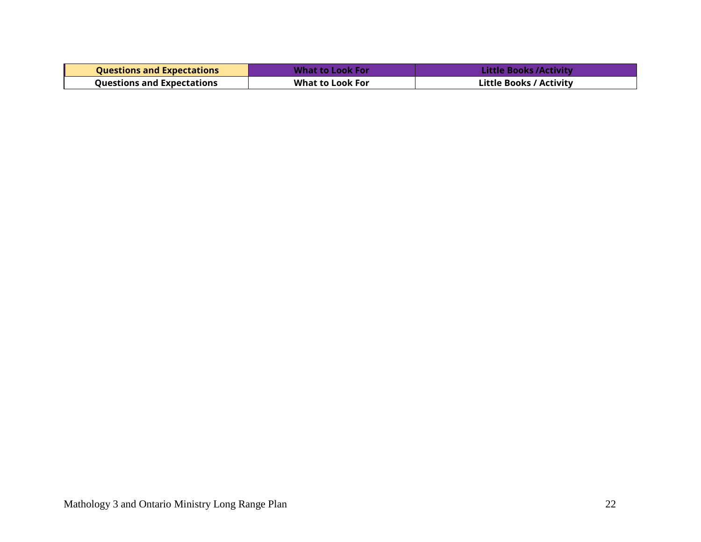| <b>Questions and Expectations</b> | What to Look For        | Little Books /Activity /       |
|-----------------------------------|-------------------------|--------------------------------|
| <b>Questions and Expectations</b> | <b>What to Look For</b> | <b>Little Books / Activity</b> |